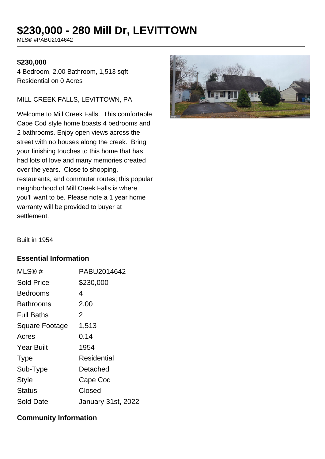# **\$230,000 - 280 Mill Dr, LEVITTOWN**

MLS® #PABU2014642

#### **\$230,000**

4 Bedroom, 2.00 Bathroom, 1,513 sqft Residential on 0 Acres

#### MILL CREEK FALLS, LEVITTOWN, PA

Welcome to Mill Creek Falls. This comfortable Cape Cod style home boasts 4 bedrooms and 2 bathrooms. Enjoy open views across the street with no houses along the creek. Bring your finishing touches to this home that has had lots of love and many memories created over the years. Close to shopping, restaurants, and commuter routes; this popular neighborhood of Mill Creek Falls is where you'll want to be. Please note a 1 year home warranty will be provided to buyer at settlement.



Built in 1954

## **Essential Information**

| MLS@#                 | PABU2014642               |
|-----------------------|---------------------------|
| <b>Sold Price</b>     | \$230,000                 |
| <b>Bedrooms</b>       | 4                         |
| Bathrooms             | 2.00                      |
| <b>Full Baths</b>     | 2                         |
| <b>Square Footage</b> | 1,513                     |
| Acres                 | 0.14                      |
| <b>Year Built</b>     | 1954                      |
| <b>Type</b>           | Residential               |
| Sub-Type              | Detached                  |
| Style                 | Cape Cod                  |
| <b>Status</b>         | Closed                    |
| Sold Date             | <b>January 31st, 2022</b> |

## **Community Information**